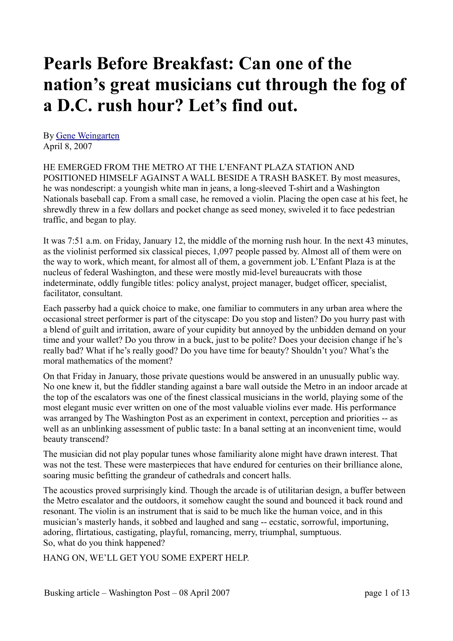## **Pearls Before Breakfast: Can one of the nation's great musicians cut through the fog of a D.C. rush hour? Let's find out.**

By [Gene Weingarten](https://www.washingtonpost.com/people/gene-weingarten/) April 8, 2007

HE EMERGED FROM THE METRO AT THE L'ENFANT PLAZA STATION AND POSITIONED HIMSELF AGAINST A WALL BESIDE A TRASH BASKET. By most measures, he was nondescript: a youngish white man in jeans, a long-sleeved T-shirt and a Washington Nationals baseball cap. From a small case, he removed a violin. Placing the open case at his feet, he shrewdly threw in a few dollars and pocket change as seed money, swiveled it to face pedestrian traffic, and began to play.

It was 7:51 a.m. on Friday, January 12, the middle of the morning rush hour. In the next 43 minutes, as the violinist performed six classical pieces, 1,097 people passed by. Almost all of them were on the way to work, which meant, for almost all of them, a government job. L'Enfant Plaza is at the nucleus of federal Washington, and these were mostly mid-level bureaucrats with those indeterminate, oddly fungible titles: policy analyst, project manager, budget officer, specialist, facilitator, consultant.

Each passerby had a quick choice to make, one familiar to commuters in any urban area where the occasional street performer is part of the cityscape: Do you stop and listen? Do you hurry past with a blend of guilt and irritation, aware of your cupidity but annoyed by the unbidden demand on your time and your wallet? Do you throw in a buck, just to be polite? Does your decision change if he's really bad? What if he's really good? Do you have time for beauty? Shouldn't you? What's the moral mathematics of the moment?

On that Friday in January, those private questions would be answered in an unusually public way. No one knew it, but the fiddler standing against a bare wall outside the Metro in an indoor arcade at the top of the escalators was one of the finest classical musicians in the world, playing some of the most elegant music ever written on one of the most valuable violins ever made. His performance was arranged by The Washington Post as an experiment in context, perception and priorities -- as well as an unblinking assessment of public taste: In a banal setting at an inconvenient time, would beauty transcend?

The musician did not play popular tunes whose familiarity alone might have drawn interest. That was not the test. These were masterpieces that have endured for centuries on their brilliance alone, soaring music befitting the grandeur of cathedrals and concert halls.

The acoustics proved surprisingly kind. Though the arcade is of utilitarian design, a buffer between the Metro escalator and the outdoors, it somehow caught the sound and bounced it back round and resonant. The violin is an instrument that is said to be much like the human voice, and in this musician's masterly hands, it sobbed and laughed and sang -- ecstatic, sorrowful, importuning, adoring, flirtatious, castigating, playful, romancing, merry, triumphal, sumptuous. So, what do you think happened?

HANG ON, WE'LL GET YOU SOME EXPERT HELP.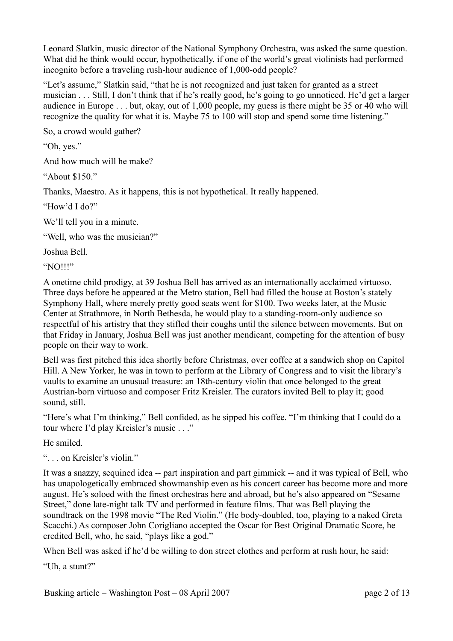Leonard Slatkin, music director of the National Symphony Orchestra, was asked the same question. What did he think would occur, hypothetically, if one of the world's great violinists had performed incognito before a traveling rush-hour audience of 1,000-odd people?

"Let's assume," Slatkin said, "that he is not recognized and just taken for granted as a street musician . . . Still, I don't think that if he's really good, he's going to go unnoticed. He'd get a larger audience in Europe . . . but, okay, out of 1,000 people, my guess is there might be 35 or 40 who will recognize the quality for what it is. Maybe 75 to 100 will stop and spend some time listening."

So, a crowd would gather?

"Oh, yes."

And how much will he make?

"About \$150."

Thanks, Maestro. As it happens, this is not hypothetical. It really happened.

"How'd I do?"

We'll tell you in a minute.

"Well, who was the musician?"

Joshua Bell.

"NO!!!"

A onetime child prodigy, at 39 Joshua Bell has arrived as an internationally acclaimed virtuoso. Three days before he appeared at the Metro station, Bell had filled the house at Boston's stately Symphony Hall, where merely pretty good seats went for \$100. Two weeks later, at the Music Center at Strathmore, in North Bethesda, he would play to a standing-room-only audience so respectful of his artistry that they stifled their coughs until the silence between movements. But on that Friday in January, Joshua Bell was just another mendicant, competing for the attention of busy people on their way to work.

Bell was first pitched this idea shortly before Christmas, over coffee at a sandwich shop on Capitol Hill. A New Yorker, he was in town to perform at the Library of Congress and to visit the library's vaults to examine an unusual treasure: an 18th-century violin that once belonged to the great Austrian-born virtuoso and composer Fritz Kreisler. The curators invited Bell to play it; good sound, still.

"Here's what I'm thinking," Bell confided, as he sipped his coffee. "I'm thinking that I could do a tour where I'd play Kreisler's music . . ."

He smiled.

". . . on Kreisler's violin."

It was a snazzy, sequined idea -- part inspiration and part gimmick -- and it was typical of Bell, who has unapologetically embraced showmanship even as his concert career has become more and more august. He's soloed with the finest orchestras here and abroad, but he's also appeared on "Sesame Street," done late-night talk TV and performed in feature films. That was Bell playing the soundtrack on the 1998 movie "The Red Violin." (He body-doubled, too, playing to a naked Greta Scacchi.) As composer John Corigliano accepted the Oscar for Best Original Dramatic Score, he credited Bell, who, he said, "plays like a god."

When Bell was asked if he'd be willing to don street clothes and perform at rush hour, he said:

"Uh, a stunt?"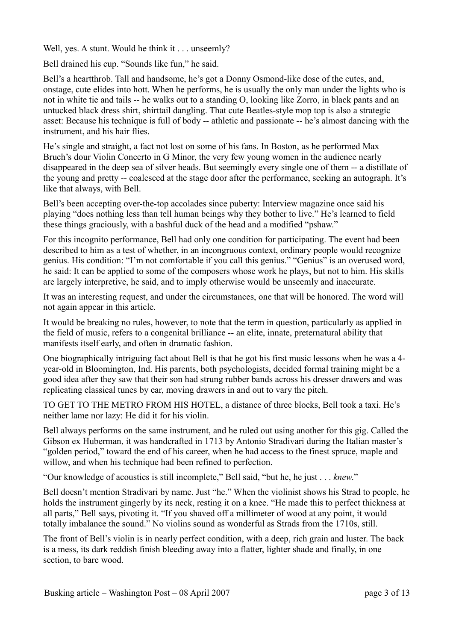Well, yes. A stunt. Would he think it . . . unseemly?

Bell drained his cup. "Sounds like fun," he said.

Bell's a heartthrob. Tall and handsome, he's got a Donny Osmond-like dose of the cutes, and, onstage, cute elides into hott. When he performs, he is usually the only man under the lights who is not in white tie and tails -- he walks out to a standing O, looking like Zorro, in black pants and an untucked black dress shirt, shirttail dangling. That cute Beatles-style mop top is also a strategic asset: Because his technique is full of body -- athletic and passionate -- he's almost dancing with the instrument, and his hair flies.

He's single and straight, a fact not lost on some of his fans. In Boston, as he performed Max Bruch's dour Violin Concerto in G Minor, the very few young women in the audience nearly disappeared in the deep sea of silver heads. But seemingly every single one of them -- a distillate of the young and pretty -- coalesced at the stage door after the performance, seeking an autograph. It's like that always, with Bell.

Bell's been accepting over-the-top accolades since puberty: Interview magazine once said his playing "does nothing less than tell human beings why they bother to live." He's learned to field these things graciously, with a bashful duck of the head and a modified "pshaw."

For this incognito performance, Bell had only one condition for participating. The event had been described to him as a test of whether, in an incongruous context, ordinary people would recognize genius. His condition: "I'm not comfortable if you call this genius." "Genius" is an overused word, he said: It can be applied to some of the composers whose work he plays, but not to him. His skills are largely interpretive, he said, and to imply otherwise would be unseemly and inaccurate.

It was an interesting request, and under the circumstances, one that will be honored. The word will not again appear in this article.

It would be breaking no rules, however, to note that the term in question, particularly as applied in the field of music, refers to a congenital brilliance -- an elite, innate, preternatural ability that manifests itself early, and often in dramatic fashion.

One biographically intriguing fact about Bell is that he got his first music lessons when he was a 4 year-old in Bloomington, Ind. His parents, both psychologists, decided formal training might be a good idea after they saw that their son had strung rubber bands across his dresser drawers and was replicating classical tunes by ear, moving drawers in and out to vary the pitch.

TO GET TO THE METRO FROM HIS HOTEL, a distance of three blocks, Bell took a taxi. He's neither lame nor lazy: He did it for his violin.

Bell always performs on the same instrument, and he ruled out using another for this gig. Called the Gibson ex Huberman, it was handcrafted in 1713 by Antonio Stradivari during the Italian master's "golden period," toward the end of his career, when he had access to the finest spruce, maple and willow, and when his technique had been refined to perfection.

"Our knowledge of acoustics is still incomplete," Bell said, "but he, he just . . . *knew*."

Bell doesn't mention Stradivari by name. Just "he." When the violinist shows his Strad to people, he holds the instrument gingerly by its neck, resting it on a knee. "He made this to perfect thickness at all parts," Bell says, pivoting it. "If you shaved off a millimeter of wood at any point, it would totally imbalance the sound." No violins sound as wonderful as Strads from the 1710s, still.

The front of Bell's violin is in nearly perfect condition, with a deep, rich grain and luster. The back is a mess, its dark reddish finish bleeding away into a flatter, lighter shade and finally, in one section, to bare wood.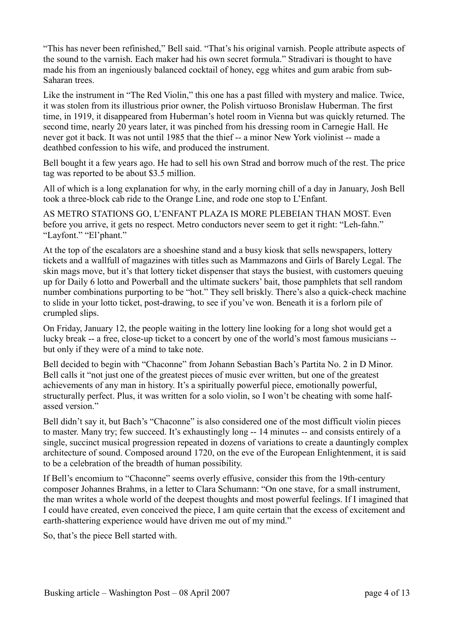"This has never been refinished," Bell said. "That's his original varnish. People attribute aspects of the sound to the varnish. Each maker had his own secret formula." Stradivari is thought to have made his from an ingeniously balanced cocktail of honey, egg whites and gum arabic from sub-Saharan trees.

Like the instrument in "The Red Violin," this one has a past filled with mystery and malice. Twice, it was stolen from its illustrious prior owner, the Polish virtuoso Bronislaw Huberman. The first time, in 1919, it disappeared from Huberman's hotel room in Vienna but was quickly returned. The second time, nearly 20 years later, it was pinched from his dressing room in Carnegie Hall. He never got it back. It was not until 1985 that the thief -- a minor New York violinist -- made a deathbed confession to his wife, and produced the instrument.

Bell bought it a few years ago. He had to sell his own Strad and borrow much of the rest. The price tag was reported to be about \$3.5 million.

All of which is a long explanation for why, in the early morning chill of a day in January, Josh Bell took a three-block cab ride to the Orange Line, and rode one stop to L'Enfant.

AS METRO STATIONS GO, L'ENFANT PLAZA IS MORE PLEBEIAN THAN MOST. Even before you arrive, it gets no respect. Metro conductors never seem to get it right: "Leh-fahn." "Layfont." "El'phant."

At the top of the escalators are a shoeshine stand and a busy kiosk that sells newspapers, lottery tickets and a wallfull of magazines with titles such as Mammazons and Girls of Barely Legal. The skin mags move, but it's that lottery ticket dispenser that stays the busiest, with customers queuing up for Daily 6 lotto and Powerball and the ultimate suckers' bait, those pamphlets that sell random number combinations purporting to be "hot." They sell briskly. There's also a quick-check machine to slide in your lotto ticket, post-drawing, to see if you've won. Beneath it is a forlorn pile of crumpled slips.

On Friday, January 12, the people waiting in the lottery line looking for a long shot would get a lucky break -- a free, close-up ticket to a concert by one of the world's most famous musicians - but only if they were of a mind to take note.

Bell decided to begin with "Chaconne" from Johann Sebastian Bach's Partita No. 2 in D Minor. Bell calls it "not just one of the greatest pieces of music ever written, but one of the greatest achievements of any man in history. It's a spiritually powerful piece, emotionally powerful, structurally perfect. Plus, it was written for a solo violin, so I won't be cheating with some halfassed version"

Bell didn't say it, but Bach's "Chaconne" is also considered one of the most difficult violin pieces to master. Many try; few succeed. It's exhaustingly long -- 14 minutes -- and consists entirely of a single, succinct musical progression repeated in dozens of variations to create a dauntingly complex architecture of sound. Composed around 1720, on the eve of the European Enlightenment, it is said to be a celebration of the breadth of human possibility.

If Bell's encomium to "Chaconne" seems overly effusive, consider this from the 19th-century composer Johannes Brahms, in a letter to Clara Schumann: "On one stave, for a small instrument, the man writes a whole world of the deepest thoughts and most powerful feelings. If I imagined that I could have created, even conceived the piece, I am quite certain that the excess of excitement and earth-shattering experience would have driven me out of my mind."

So, that's the piece Bell started with.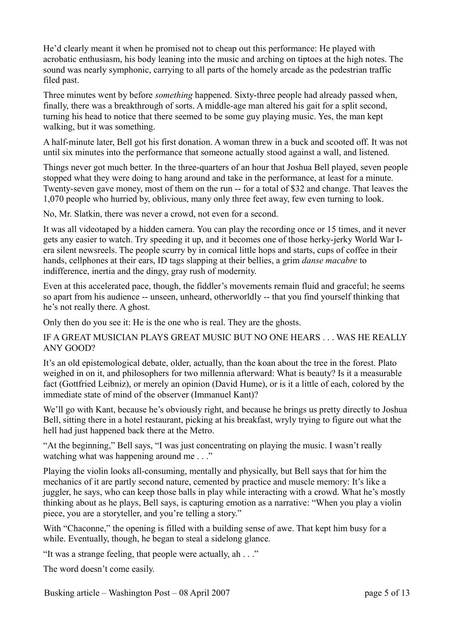He'd clearly meant it when he promised not to cheap out this performance: He played with acrobatic enthusiasm, his body leaning into the music and arching on tiptoes at the high notes. The sound was nearly symphonic, carrying to all parts of the homely arcade as the pedestrian traffic filed past.

Three minutes went by before *something* happened. Sixty-three people had already passed when, finally, there was a breakthrough of sorts. A middle-age man altered his gait for a split second, turning his head to notice that there seemed to be some guy playing music. Yes, the man kept walking, but it was something.

A half-minute later, Bell got his first donation. A woman threw in a buck and scooted off. It was not until six minutes into the performance that someone actually stood against a wall, and listened.

Things never got much better. In the three-quarters of an hour that Joshua Bell played, seven people stopped what they were doing to hang around and take in the performance, at least for a minute. Twenty-seven gave money, most of them on the run -- for a total of \$32 and change. That leaves the 1,070 people who hurried by, oblivious, many only three feet away, few even turning to look.

No, Mr. Slatkin, there was never a crowd, not even for a second.

It was all videotaped by a hidden camera. You can play the recording once or 15 times, and it never gets any easier to watch. Try speeding it up, and it becomes one of those herky-jerky World War Iera silent newsreels. The people scurry by in comical little hops and starts, cups of coffee in their hands, cellphones at their ears, ID tags slapping at their bellies, a grim *danse macabre* to indifference, inertia and the dingy, gray rush of modernity.

Even at this accelerated pace, though, the fiddler's movements remain fluid and graceful; he seems so apart from his audience -- unseen, unheard, otherworldly -- that you find yourself thinking that he's not really there. A ghost.

Only then do you see it: He is the one who is real. They are the ghosts.

IF A GREAT MUSICIAN PLAYS GREAT MUSIC BUT NO ONE HEARS . . . WAS HE REALLY ANY GOOD?

It's an old epistemological debate, older, actually, than the koan about the tree in the forest. Plato weighed in on it, and philosophers for two millennia afterward: What is beauty? Is it a measurable fact (Gottfried Leibniz), or merely an opinion (David Hume), or is it a little of each, colored by the immediate state of mind of the observer (Immanuel Kant)?

We'll go with Kant, because he's obviously right, and because he brings us pretty directly to Joshua Bell, sitting there in a hotel restaurant, picking at his breakfast, wryly trying to figure out what the hell had just happened back there at the Metro.

"At the beginning," Bell says, "I was just concentrating on playing the music. I wasn't really watching what was happening around me . . ."

Playing the violin looks all-consuming, mentally and physically, but Bell says that for him the mechanics of it are partly second nature, cemented by practice and muscle memory: It's like a juggler, he says, who can keep those balls in play while interacting with a crowd. What he's mostly thinking about as he plays, Bell says, is capturing emotion as a narrative: "When you play a violin piece, you are a storyteller, and you're telling a story."

With "Chaconne," the opening is filled with a building sense of awe. That kept him busy for a while. Eventually, though, he began to steal a sidelong glance.

"It was a strange feeling, that people were actually, ah . . ."

The word doesn't come easily.

Busking article – Washington Post – 08 April 2007 page 5 of 13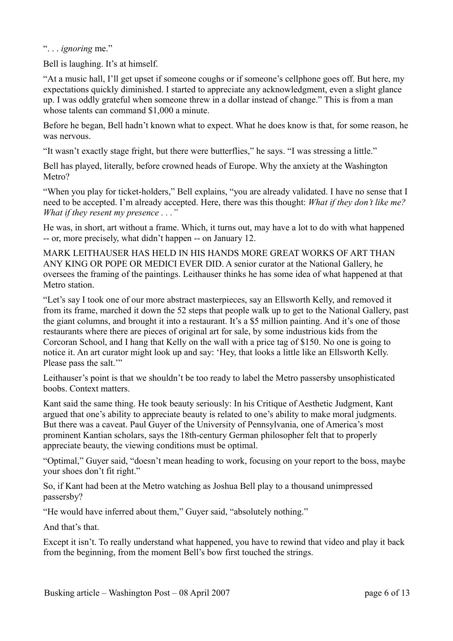". . . *ignoring* me."

Bell is laughing. It's at himself.

"At a music hall, I'll get upset if someone coughs or if someone's cellphone goes off. But here, my expectations quickly diminished. I started to appreciate any acknowledgment, even a slight glance up. I was oddly grateful when someone threw in a dollar instead of change." This is from a man whose talents can command \$1,000 a minute.

Before he began, Bell hadn't known what to expect. What he does know is that, for some reason, he was nervous.

"It wasn't exactly stage fright, but there were butterflies," he says. "I was stressing a little."

Bell has played, literally, before crowned heads of Europe. Why the anxiety at the Washington Metro?

"When you play for ticket-holders," Bell explains, "you are already validated. I have no sense that I need to be accepted. I'm already accepted. Here, there was this thought: *What if they don't like me? What if they resent my presence . . ."*

He was, in short, art without a frame. Which, it turns out, may have a lot to do with what happened -- or, more precisely, what didn't happen -- on January 12.

MARK LEITHAUSER HAS HELD IN HIS HANDS MORE GREAT WORKS OF ART THAN ANY KING OR POPE OR MEDICI EVER DID. A senior curator at the National Gallery, he oversees the framing of the paintings. Leithauser thinks he has some idea of what happened at that Metro station.

"Let's say I took one of our more abstract masterpieces, say an Ellsworth Kelly, and removed it from its frame, marched it down the 52 steps that people walk up to get to the National Gallery, past the giant columns, and brought it into a restaurant. It's a \$5 million painting. And it's one of those restaurants where there are pieces of original art for sale, by some industrious kids from the Corcoran School, and I hang that Kelly on the wall with a price tag of \$150. No one is going to notice it. An art curator might look up and say: 'Hey, that looks a little like an Ellsworth Kelly. Please pass the salt.'"

Leithauser's point is that we shouldn't be too ready to label the Metro passersby unsophisticated boobs. Context matters.

Kant said the same thing. He took beauty seriously: In his Critique of Aesthetic Judgment, Kant argued that one's ability to appreciate beauty is related to one's ability to make moral judgments. But there was a caveat. Paul Guyer of the University of Pennsylvania, one of America's most prominent Kantian scholars, says the 18th-century German philosopher felt that to properly appreciate beauty, the viewing conditions must be optimal.

"Optimal," Guyer said, "doesn't mean heading to work, focusing on your report to the boss, maybe your shoes don't fit right."

So, if Kant had been at the Metro watching as Joshua Bell play to a thousand unimpressed passersby?

"He would have inferred about them," Guyer said, "absolutely nothing."

And that's that.

Except it isn't. To really understand what happened, you have to rewind that video and play it back from the beginning, from the moment Bell's bow first touched the strings.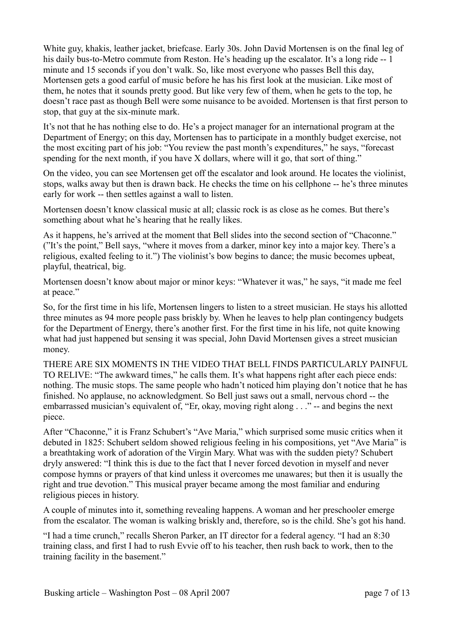White guy, khakis, leather jacket, briefcase. Early 30s. John David Mortensen is on the final leg of his daily bus-to-Metro commute from Reston. He's heading up the escalator. It's a long ride -- 1 minute and 15 seconds if you don't walk. So, like most everyone who passes Bell this day, Mortensen gets a good earful of music before he has his first look at the musician. Like most of them, he notes that it sounds pretty good. But like very few of them, when he gets to the top, he doesn't race past as though Bell were some nuisance to be avoided. Mortensen is that first person to stop, that guy at the six-minute mark.

It's not that he has nothing else to do. He's a project manager for an international program at the Department of Energy; on this day, Mortensen has to participate in a monthly budget exercise, not the most exciting part of his job: "You review the past month's expenditures," he says, "forecast spending for the next month, if you have X dollars, where will it go, that sort of thing."

On the video, you can see Mortensen get off the escalator and look around. He locates the violinist, stops, walks away but then is drawn back. He checks the time on his cellphone -- he's three minutes early for work -- then settles against a wall to listen.

Mortensen doesn't know classical music at all; classic rock is as close as he comes. But there's something about what he's hearing that he really likes.

As it happens, he's arrived at the moment that Bell slides into the second section of "Chaconne." ("It's the point," Bell says, "where it moves from a darker, minor key into a major key. There's a religious, exalted feeling to it.") The violinist's bow begins to dance; the music becomes upbeat, playful, theatrical, big.

Mortensen doesn't know about major or minor keys: "Whatever it was," he says, "it made me feel at peace."

So, for the first time in his life, Mortensen lingers to listen to a street musician. He stays his allotted three minutes as 94 more people pass briskly by. When he leaves to help plan contingency budgets for the Department of Energy, there's another first. For the first time in his life, not quite knowing what had just happened but sensing it was special, John David Mortensen gives a street musician money.

THERE ARE SIX MOMENTS IN THE VIDEO THAT BELL FINDS PARTICULARLY PAINFUL TO RELIVE: "The awkward times," he calls them. It's what happens right after each piece ends: nothing. The music stops. The same people who hadn't noticed him playing don't notice that he has finished. No applause, no acknowledgment. So Bell just saws out a small, nervous chord -- the embarrassed musician's equivalent of, "Er, okay, moving right along . . ." -- and begins the next piece.

After "Chaconne," it is Franz Schubert's "Ave Maria," which surprised some music critics when it debuted in 1825: Schubert seldom showed religious feeling in his compositions, yet "Ave Maria" is a breathtaking work of adoration of the Virgin Mary. What was with the sudden piety? Schubert dryly answered: "I think this is due to the fact that I never forced devotion in myself and never compose hymns or prayers of that kind unless it overcomes me unawares; but then it is usually the right and true devotion." This musical prayer became among the most familiar and enduring religious pieces in history.

A couple of minutes into it, something revealing happens. A woman and her preschooler emerge from the escalator. The woman is walking briskly and, therefore, so is the child. She's got his hand.

"I had a time crunch," recalls Sheron Parker, an IT director for a federal agency. "I had an 8:30 training class, and first I had to rush Evvie off to his teacher, then rush back to work, then to the training facility in the basement."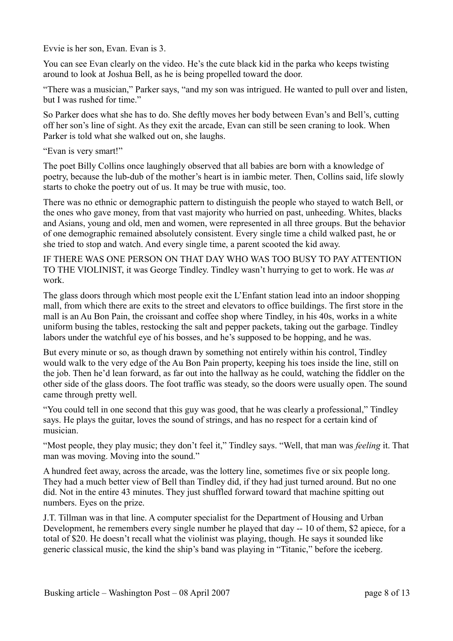Evvie is her son, Evan. Evan is 3.

You can see Evan clearly on the video. He's the cute black kid in the parka who keeps twisting around to look at Joshua Bell, as he is being propelled toward the door.

"There was a musician," Parker says, "and my son was intrigued. He wanted to pull over and listen, but I was rushed for time."

So Parker does what she has to do. She deftly moves her body between Evan's and Bell's, cutting off her son's line of sight. As they exit the arcade, Evan can still be seen craning to look. When Parker is told what she walked out on, she laughs.

"Evan is very smart!"

The poet Billy Collins once laughingly observed that all babies are born with a knowledge of poetry, because the lub-dub of the mother's heart is in iambic meter. Then, Collins said, life slowly starts to choke the poetry out of us. It may be true with music, too.

There was no ethnic or demographic pattern to distinguish the people who stayed to watch Bell, or the ones who gave money, from that vast majority who hurried on past, unheeding. Whites, blacks and Asians, young and old, men and women, were represented in all three groups. But the behavior of one demographic remained absolutely consistent. Every single time a child walked past, he or she tried to stop and watch. And every single time, a parent scooted the kid away.

IF THERE WAS ONE PERSON ON THAT DAY WHO WAS TOO BUSY TO PAY ATTENTION TO THE VIOLINIST, it was George Tindley. Tindley wasn't hurrying to get to work. He was *at*  work.

The glass doors through which most people exit the L'Enfant station lead into an indoor shopping mall, from which there are exits to the street and elevators to office buildings. The first store in the mall is an Au Bon Pain, the croissant and coffee shop where Tindley, in his 40s, works in a white uniform busing the tables, restocking the salt and pepper packets, taking out the garbage. Tindley labors under the watchful eye of his bosses, and he's supposed to be hopping, and he was.

But every minute or so, as though drawn by something not entirely within his control, Tindley would walk to the very edge of the Au Bon Pain property, keeping his toes inside the line, still on the job. Then he'd lean forward, as far out into the hallway as he could, watching the fiddler on the other side of the glass doors. The foot traffic was steady, so the doors were usually open. The sound came through pretty well.

"You could tell in one second that this guy was good, that he was clearly a professional," Tindley says. He plays the guitar, loves the sound of strings, and has no respect for a certain kind of musician.

"Most people, they play music; they don't feel it," Tindley says. "Well, that man was *feeling* it. That man was moving. Moving into the sound."

A hundred feet away, across the arcade, was the lottery line, sometimes five or six people long. They had a much better view of Bell than Tindley did, if they had just turned around. But no one did. Not in the entire 43 minutes. They just shuffled forward toward that machine spitting out numbers. Eyes on the prize.

J.T. Tillman was in that line. A computer specialist for the Department of Housing and Urban Development, he remembers every single number he played that day -- 10 of them, \$2 apiece, for a total of \$20. He doesn't recall what the violinist was playing, though. He says it sounded like generic classical music, the kind the ship's band was playing in "Titanic," before the iceberg.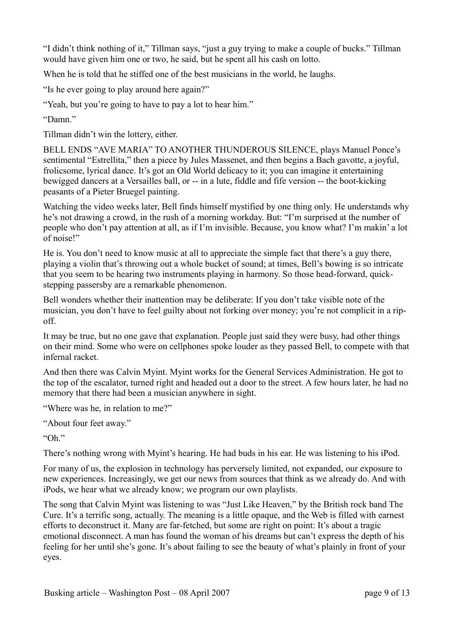"I didn't think nothing of it," Tillman says, "just a guy trying to make a couple of bucks." Tillman would have given him one or two, he said, but he spent all his cash on lotto.

When he is told that he stiffed one of the best musicians in the world, he laughs.

"Is he ever going to play around here again?"

"Yeah, but you're going to have to pay a lot to hear him."

"Damn."

Tillman didn't win the lottery, either.

BELL ENDS "AVE MARIA" TO ANOTHER THUNDEROUS SILENCE, plays Manuel Ponce's sentimental "Estrellita," then a piece by Jules Massenet, and then begins a Bach gavotte, a joyful, frolicsome, lyrical dance. It's got an Old World delicacy to it; you can imagine it entertaining bewigged dancers at a Versailles ball, or -- in a lute, fiddle and fife version -- the boot-kicking peasants of a Pieter Bruegel painting.

Watching the video weeks later, Bell finds himself mystified by one thing only. He understands why he's not drawing a crowd, in the rush of a morning workday. But: "I'm surprised at the number of people who don't pay attention at all, as if I'm invisible. Because, you know what? I'm makin' a lot of noise!"

He is. You don't need to know music at all to appreciate the simple fact that there's a guy there, playing a violin that's throwing out a whole bucket of sound; at times, Bell's bowing is so intricate that you seem to be hearing two instruments playing in harmony. So those head-forward, quickstepping passersby are a remarkable phenomenon.

Bell wonders whether their inattention may be deliberate: If you don't take visible note of the musician, you don't have to feel guilty about not forking over money; you're not complicit in a ripoff.

It may be true, but no one gave that explanation. People just said they were busy, had other things on their mind. Some who were on cellphones spoke louder as they passed Bell, to compete with that infernal racket.

And then there was Calvin Myint. Myint works for the General Services Administration. He got to the top of the escalator, turned right and headed out a door to the street. A few hours later, he had no memory that there had been a musician anywhere in sight.

"Where was he, in relation to me?"

"About four feet away."

"Oh"

There's nothing wrong with Myint's hearing. He had buds in his ear. He was listening to his iPod.

For many of us, the explosion in technology has perversely limited, not expanded, our exposure to new experiences. Increasingly, we get our news from sources that think as we already do. And with iPods, we hear what we already know; we program our own playlists.

The song that Calvin Myint was listening to was "Just Like Heaven," by the British rock band The Cure. It's a terrific song, actually. The meaning is a little opaque, and the Web is filled with earnest efforts to deconstruct it. Many are far-fetched, but some are right on point: It's about a tragic emotional disconnect. A man has found the woman of his dreams but can't express the depth of his feeling for her until she's gone. It's about failing to see the beauty of what's plainly in front of your eyes.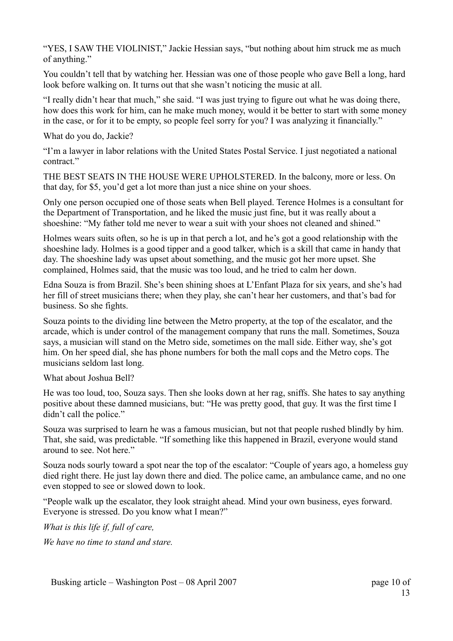"YES, I SAW THE VIOLINIST," Jackie Hessian says, "but nothing about him struck me as much of anything."

You couldn't tell that by watching her. Hessian was one of those people who gave Bell a long, hard look before walking on. It turns out that she wasn't noticing the music at all.

"I really didn't hear that much," she said. "I was just trying to figure out what he was doing there, how does this work for him, can he make much money, would it be better to start with some money in the case, or for it to be empty, so people feel sorry for you? I was analyzing it financially."

What do you do, Jackie?

"I'm a lawyer in labor relations with the United States Postal Service. I just negotiated a national contract."

THE BEST SEATS IN THE HOUSE WERE UPHOLSTERED. In the balcony, more or less. On that day, for \$5, you'd get a lot more than just a nice shine on your shoes.

Only one person occupied one of those seats when Bell played. Terence Holmes is a consultant for the Department of Transportation, and he liked the music just fine, but it was really about a shoeshine: "My father told me never to wear a suit with your shoes not cleaned and shined."

Holmes wears suits often, so he is up in that perch a lot, and he's got a good relationship with the shoeshine lady. Holmes is a good tipper and a good talker, which is a skill that came in handy that day. The shoeshine lady was upset about something, and the music got her more upset. She complained, Holmes said, that the music was too loud, and he tried to calm her down.

Edna Souza is from Brazil. She's been shining shoes at L'Enfant Plaza for six years, and she's had her fill of street musicians there; when they play, she can't hear her customers, and that's bad for business. So she fights.

Souza points to the dividing line between the Metro property, at the top of the escalator, and the arcade, which is under control of the management company that runs the mall. Sometimes, Souza says, a musician will stand on the Metro side, sometimes on the mall side. Either way, she's got him. On her speed dial, she has phone numbers for both the mall cops and the Metro cops. The musicians seldom last long.

What about Joshua Bell?

He was too loud, too, Souza says. Then she looks down at her rag, sniffs. She hates to say anything positive about these damned musicians, but: "He was pretty good, that guy. It was the first time I didn't call the police."

Souza was surprised to learn he was a famous musician, but not that people rushed blindly by him. That, she said, was predictable. "If something like this happened in Brazil, everyone would stand around to see. Not here."

Souza nods sourly toward a spot near the top of the escalator: "Couple of years ago, a homeless guy died right there. He just lay down there and died. The police came, an ambulance came, and no one even stopped to see or slowed down to look.

"People walk up the escalator, they look straight ahead. Mind your own business, eyes forward. Everyone is stressed. Do you know what I mean?"

*What is this life if, full of care,*

*We have no time to stand and stare.*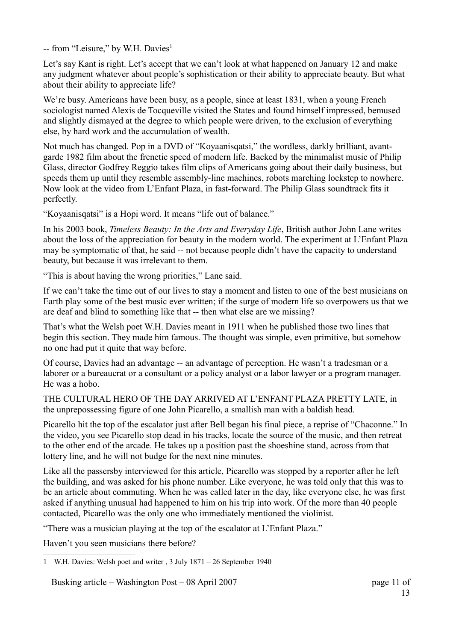-- from "Leisure," by W.H. Davies<sup>[1](#page-10-0)</sup>

Let's say Kant is right. Let's accept that we can't look at what happened on January 12 and make any judgment whatever about people's sophistication or their ability to appreciate beauty. But what about their ability to appreciate life?

We're busy. Americans have been busy, as a people, since at least 1831, when a young French sociologist named Alexis de Tocqueville visited the States and found himself impressed, bemused and slightly dismayed at the degree to which people were driven, to the exclusion of everything else, by hard work and the accumulation of wealth.

Not much has changed. Pop in a DVD of "Koyaanisqatsi," the wordless, darkly brilliant, avantgarde 1982 film about the frenetic speed of modern life. Backed by the minimalist music of Philip Glass, director Godfrey Reggio takes film clips of Americans going about their daily business, but speeds them up until they resemble assembly-line machines, robots marching lockstep to nowhere. Now look at the video from L'Enfant Plaza, in fast-forward. The Philip Glass soundtrack fits it perfectly.

"Koyaanisqatsi" is a Hopi word. It means "life out of balance."

In his 2003 book, *Timeless Beauty: In the Arts and Everyday Life*, British author John Lane writes about the loss of the appreciation for beauty in the modern world. The experiment at L'Enfant Plaza may be symptomatic of that, he said -- not because people didn't have the capacity to understand beauty, but because it was irrelevant to them.

"This is about having the wrong priorities," Lane said.

If we can't take the time out of our lives to stay a moment and listen to one of the best musicians on Earth play some of the best music ever written; if the surge of modern life so overpowers us that we are deaf and blind to something like that -- then what else are we missing?

That's what the Welsh poet W.H. Davies meant in 1911 when he published those two lines that begin this section. They made him famous. The thought was simple, even primitive, but somehow no one had put it quite that way before.

Of course, Davies had an advantage -- an advantage of perception. He wasn't a tradesman or a laborer or a bureaucrat or a consultant or a policy analyst or a labor lawyer or a program manager. He was a hobo.

THE CULTURAL HERO OF THE DAY ARRIVED AT L'ENFANT PLAZA PRETTY LATE, in the unprepossessing figure of one John Picarello, a smallish man with a baldish head.

Picarello hit the top of the escalator just after Bell began his final piece, a reprise of "Chaconne." In the video, you see Picarello stop dead in his tracks, locate the source of the music, and then retreat to the other end of the arcade. He takes up a position past the shoeshine stand, across from that lottery line, and he will not budge for the next nine minutes.

Like all the passersby interviewed for this article, Picarello was stopped by a reporter after he left the building, and was asked for his phone number. Like everyone, he was told only that this was to be an article about commuting. When he was called later in the day, like everyone else, he was first asked if anything unusual had happened to him on his trip into work. Of the more than 40 people contacted, Picarello was the only one who immediately mentioned the violinist.

"There was a musician playing at the top of the escalator at L'Enfant Plaza."

Haven't you seen musicians there before?

<span id="page-10-0"></span><sup>1</sup> W.H. Davies: Welsh poet and writer , 3 July 1871 – 26 September 1940

Busking article – Washington Post – 08 April 2007 page 11 of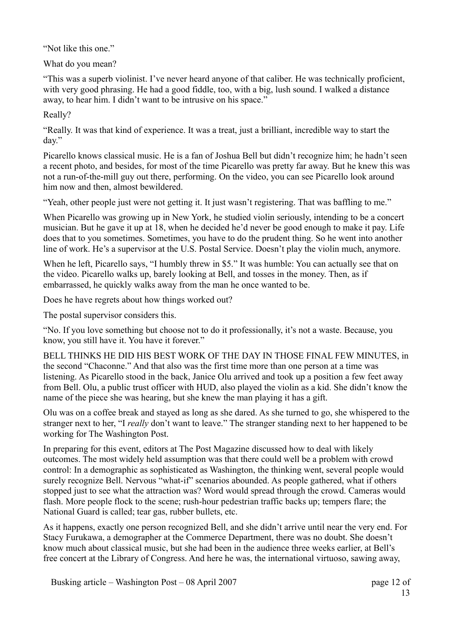"Not like this one."

What do you mean?

"This was a superb violinist. I've never heard anyone of that caliber. He was technically proficient, with very good phrasing. He had a good fiddle, too, with a big, lush sound. I walked a distance away, to hear him. I didn't want to be intrusive on his space."

## Really?

"Really. It was that kind of experience. It was a treat, just a brilliant, incredible way to start the day."

Picarello knows classical music. He is a fan of Joshua Bell but didn't recognize him; he hadn't seen a recent photo, and besides, for most of the time Picarello was pretty far away. But he knew this was not a run-of-the-mill guy out there, performing. On the video, you can see Picarello look around him now and then, almost bewildered.

"Yeah, other people just were not getting it. It just wasn't registering. That was baffling to me."

When Picarello was growing up in New York, he studied violin seriously, intending to be a concert musician. But he gave it up at 18, when he decided he'd never be good enough to make it pay. Life does that to you sometimes. Sometimes, you have to do the prudent thing. So he went into another line of work. He's a supervisor at the U.S. Postal Service. Doesn't play the violin much, anymore.

When he left, Picarello says, "I humbly threw in \$5." It was humble: You can actually see that on the video. Picarello walks up, barely looking at Bell, and tosses in the money. Then, as if embarrassed, he quickly walks away from the man he once wanted to be.

Does he have regrets about how things worked out?

The postal supervisor considers this.

"No. If you love something but choose not to do it professionally, it's not a waste. Because, you know, you still have it. You have it forever."

BELL THINKS HE DID HIS BEST WORK OF THE DAY IN THOSE FINAL FEW MINUTES, in the second "Chaconne." And that also was the first time more than one person at a time was listening. As Picarello stood in the back, Janice Olu arrived and took up a position a few feet away from Bell. Olu, a public trust officer with HUD, also played the violin as a kid. She didn't know the name of the piece she was hearing, but she knew the man playing it has a gift.

Olu was on a coffee break and stayed as long as she dared. As she turned to go, she whispered to the stranger next to her, "I *really* don't want to leave." The stranger standing next to her happened to be working for The Washington Post.

In preparing for this event, editors at The Post Magazine discussed how to deal with likely outcomes. The most widely held assumption was that there could well be a problem with crowd control: In a demographic as sophisticated as Washington, the thinking went, several people would surely recognize Bell. Nervous "what-if" scenarios abounded. As people gathered, what if others stopped just to see what the attraction was? Word would spread through the crowd. Cameras would flash. More people flock to the scene; rush-hour pedestrian traffic backs up; tempers flare; the National Guard is called; tear gas, rubber bullets, etc.

As it happens, exactly one person recognized Bell, and she didn't arrive until near the very end. For Stacy Furukawa, a demographer at the Commerce Department, there was no doubt. She doesn't know much about classical music, but she had been in the audience three weeks earlier, at Bell's free concert at the Library of Congress. And here he was, the international virtuoso, sawing away,

Busking article – Washington Post – 08 April 2007 page 12 of